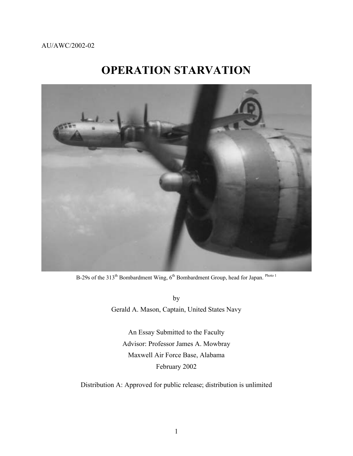## AU/AWC/2002-02

# **OPERATION STARVATION**



B-29s of the 313<sup>th</sup> Bombardment Wing, 6<sup>th</sup> Bombardment Group, head for Japan. <sup>Photo 1</sup>

by Gerald A. Mason, Captain, United States Navy

An Essay Submitted to the Faculty Advisor: Professor James A. Mowbray Maxwell Air Force Base, Alabama February 2002

Distribution A: Approved for public release; distribution is unlimited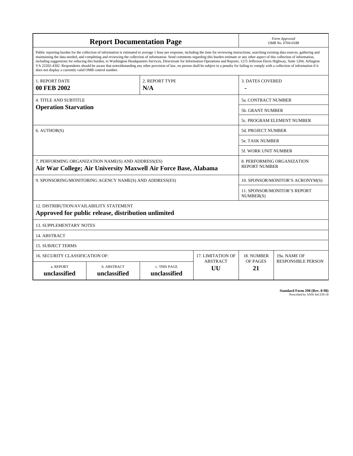| <b>Report Documentation Page</b>                                                                                                                                                                                                                                                                                                                                                                                                                                                                                                                                                                                                                                                                                                                                                                                                                                   |                             |                              |                       |                                                    | Form Approved<br>OMB No. 0704-0188        |  |
|--------------------------------------------------------------------------------------------------------------------------------------------------------------------------------------------------------------------------------------------------------------------------------------------------------------------------------------------------------------------------------------------------------------------------------------------------------------------------------------------------------------------------------------------------------------------------------------------------------------------------------------------------------------------------------------------------------------------------------------------------------------------------------------------------------------------------------------------------------------------|-----------------------------|------------------------------|-----------------------|----------------------------------------------------|-------------------------------------------|--|
| Public reporting burden for the collection of information is estimated to average 1 hour per response, including the time for reviewing instructions, searching existing data sources, gathering and<br>maintaining the data needed, and completing and reviewing the collection of information. Send comments regarding this burden estimate or any other aspect of this collection of information,<br>including suggestions for reducing this burden, to Washington Headquarters Services, Directorate for Information Operations and Reports, 1215 Jefferson Davis Highway, Suite 1204, Arlington<br>VA 22202-4302. Respondents should be aware that notwithstanding any other provision of law, no person shall be subject to a penalty for failing to comply with a collection of information if it<br>does not display a currently valid OMB control number. |                             |                              |                       |                                                    |                                           |  |
| <b>1. REPORT DATE</b>                                                                                                                                                                                                                                                                                                                                                                                                                                                                                                                                                                                                                                                                                                                                                                                                                                              |                             | 2. REPORT TYPE               |                       | <b>3. DATES COVERED</b>                            |                                           |  |
| 00 FEB 2002<br>N/A                                                                                                                                                                                                                                                                                                                                                                                                                                                                                                                                                                                                                                                                                                                                                                                                                                                 |                             |                              |                       |                                                    |                                           |  |
| 4. TITLE AND SUBTITLE                                                                                                                                                                                                                                                                                                                                                                                                                                                                                                                                                                                                                                                                                                                                                                                                                                              |                             |                              |                       |                                                    | <b>5a. CONTRACT NUMBER</b>                |  |
| <b>Operation Starvation</b>                                                                                                                                                                                                                                                                                                                                                                                                                                                                                                                                                                                                                                                                                                                                                                                                                                        |                             |                              |                       |                                                    | <b>5b. GRANT NUMBER</b>                   |  |
|                                                                                                                                                                                                                                                                                                                                                                                                                                                                                                                                                                                                                                                                                                                                                                                                                                                                    |                             |                              |                       |                                                    | 5c. PROGRAM ELEMENT NUMBER                |  |
| 6. AUTHOR(S)                                                                                                                                                                                                                                                                                                                                                                                                                                                                                                                                                                                                                                                                                                                                                                                                                                                       |                             |                              |                       |                                                    | <b>5d. PROJECT NUMBER</b>                 |  |
|                                                                                                                                                                                                                                                                                                                                                                                                                                                                                                                                                                                                                                                                                                                                                                                                                                                                    |                             |                              |                       |                                                    | <b>5e. TASK NUMBER</b>                    |  |
|                                                                                                                                                                                                                                                                                                                                                                                                                                                                                                                                                                                                                                                                                                                                                                                                                                                                    |                             |                              |                       |                                                    | <b>5f. WORK UNIT NUMBER</b>               |  |
| 7. PERFORMING ORGANIZATION NAME(S) AND ADDRESS(ES)<br>Air War College; Air University Maxwell Air Force Base, Alabama                                                                                                                                                                                                                                                                                                                                                                                                                                                                                                                                                                                                                                                                                                                                              |                             |                              |                       | 8. PERFORMING ORGANIZATION<br><b>REPORT NUMBER</b> |                                           |  |
| 9. SPONSORING/MONITORING AGENCY NAME(S) AND ADDRESS(ES)                                                                                                                                                                                                                                                                                                                                                                                                                                                                                                                                                                                                                                                                                                                                                                                                            |                             |                              |                       |                                                    | 10. SPONSOR/MONITOR'S ACRONYM(S)          |  |
|                                                                                                                                                                                                                                                                                                                                                                                                                                                                                                                                                                                                                                                                                                                                                                                                                                                                    |                             |                              |                       |                                                    | 11. SPONSOR/MONITOR'S REPORT<br>NUMBER(S) |  |
| 12. DISTRIBUTION/AVAILABILITY STATEMENT<br>Approved for public release, distribution unlimited                                                                                                                                                                                                                                                                                                                                                                                                                                                                                                                                                                                                                                                                                                                                                                     |                             |                              |                       |                                                    |                                           |  |
| <b>13. SUPPLEMENTARY NOTES</b>                                                                                                                                                                                                                                                                                                                                                                                                                                                                                                                                                                                                                                                                                                                                                                                                                                     |                             |                              |                       |                                                    |                                           |  |
| 14. ABSTRACT                                                                                                                                                                                                                                                                                                                                                                                                                                                                                                                                                                                                                                                                                                                                                                                                                                                       |                             |                              |                       |                                                    |                                           |  |
| <b>15. SUBJECT TERMS</b>                                                                                                                                                                                                                                                                                                                                                                                                                                                                                                                                                                                                                                                                                                                                                                                                                                           |                             |                              |                       |                                                    |                                           |  |
| <b>16. SECURITY CLASSIFICATION OF:</b>                                                                                                                                                                                                                                                                                                                                                                                                                                                                                                                                                                                                                                                                                                                                                                                                                             | <b>17. LIMITATION OF</b>    | 18. NUMBER                   | 19a. NAME OF          |                                                    |                                           |  |
| a. REPORT<br>unclassified                                                                                                                                                                                                                                                                                                                                                                                                                                                                                                                                                                                                                                                                                                                                                                                                                                          | b. ABSTRACT<br>unclassified | c. THIS PAGE<br>unclassified | <b>ABSTRACT</b><br>UU | OF PAGES<br>21                                     | <b>RESPONSIBLE PERSON</b>                 |  |

**Standard Form 298 (Rev. 8-98)**<br>Prescribed by ANSI Std Z39-18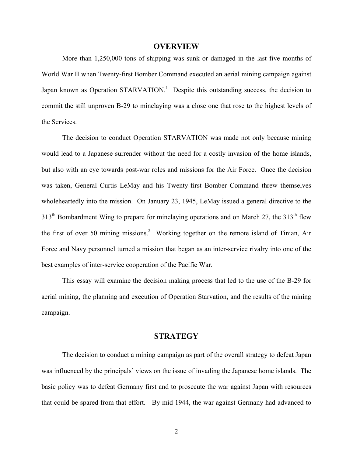#### **OVERVIEW**

More than 1,250,000 tons of shipping was sunk or damaged in the last five months of World War II when Twenty-first Bomber Command executed an aerial mining campaign against Japanknown as Operation STARVATION.<sup>1</sup> Despite this outstanding success, the decision to commit the still unproven B-29 to minelaying was a close one that rose to the highest levels of the Services.

The decision to conduct Operation STARVATION was made not only because mining would lead to a Japanese surrender without the need for a costly invasion of the home islands, but also with an eye towards post-war roles and missions for the Air Force. Once the decision was taken, General Curtis LeMay and his Twenty-first Bomber Command threw themselves wholeheartedly into the mission. On January 23, 1945, LeMay issued a general directive to the  $313<sup>th</sup>$  Bombardment Wing to prepare for minelaying operations and on March 27, the  $313<sup>th</sup>$  flew the first of over 50 mining missions.<sup>[2](#page-21-0)</sup> Working together on the remote island of Tinian, Air Force and Navy personnel turned a mission that began as an inter-service rivalry into one of the best examples of inter-service cooperation of the Pacific War.

This essay will examine the decision making process that led to the use of the B-29 for aerial mining, the planning and execution of Operation Starvation, and the results of the mining campaign.

## **STRATEGY**

The decision to conduct a mining campaign as part of the overall strategy to defeat Japan was influenced by the principals' views on the issue of invading the Japanese home islands. The basic policy was to defeat Germany first and to prosecute the war against Japan with resources that could be spared from that effort. By mid 1944, the war against Germany had advanced to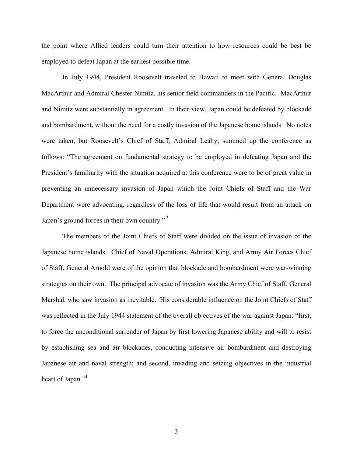the point where Allied leaders could turn their attention to how resources could be best be employed to defeat Japan at the earliest possible time.

In July 1944, President Roosevelt traveled to Hawaii to meet with General Douglas MacArthur and Admiral Chester Nimitz, his senior field commanders in the Pacific. MacArthur and Nimitz were substantially in agreement. In their view, Japan could be defeated by blockade and bombardment, without the need for a costly invasion of the Japanese home islands. No notes were taken, but Roosevelt's Chief of Staff, Admiral Leahy, summed up the conference as follows: "The agreement on fundamental strategy to be employed in defeating Japan and the President's familiarity with the situation acquired at this conference were to be of great value in preventing an unnecessary invasion of Japan which the Joint Chiefs of Staff and the War Department were advocating, regardless of the loss of life that would result from an attack on Japan's ground forces in their own country."<sup>3</sup>

The members of the Joint Chiefs of Staff were divided on the issue of invasion of the Japanese home islands. Chief of Naval Operations, Admiral King, and Army Air Forces Chief of Staff, General Arnold were of the opinion that blockade and bombardment were war-winning strategies on their own. The principal advocate of invasion was the Army Chief of Staff, General Marshal, who saw invasion as inevitable. His considerable influence on the Joint Chiefs of Staff was reflected in the July 1944 statement of the overall objectives of the war against Japan: "first, to force the unconditional surrender of Japan by first lowering Japanese ability and will to resist by establishing sea and air blockades, conducting intensive air bombardment and destroying Japanese air and naval strength; and second, invading and seizing objectives in the industrial heart of Japan."<sup>[4](#page-21-0)</sup>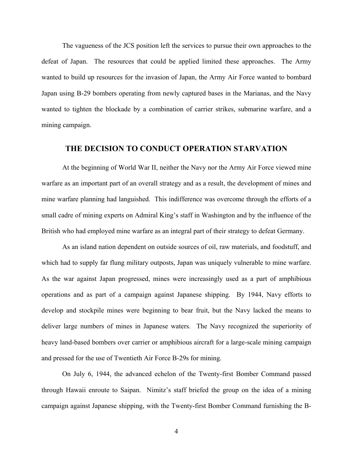The vagueness of the JCS position left the services to pursue their own approaches to the defeat of Japan. The resources that could be applied limited these approaches. The Army wanted to build up resources for the invasion of Japan, the Army Air Force wanted to bombard Japan using B-29 bombers operating from newly captured bases in the Marianas, and the Navy wanted to tighten the blockade by a combination of carrier strikes, submarine warfare, and a mining campaign.

# **THE DECISION TO CONDUCT OPERATION STARVATION**

At the beginning of World War II, neither the Navy nor the Army Air Force viewed mine warfare as an important part of an overall strategy and as a result, the development of mines and mine warfare planning had languished. This indifference was overcome through the efforts of a small cadre of mining experts on Admiral King's staff in Washington and by the influence of the British who had employed mine warfare as an integral part of their strategy to defeat Germany.

As an island nation dependent on outside sources of oil, raw materials, and foodstuff, and which had to supply far flung military outposts, Japan was uniquely vulnerable to mine warfare. As the war against Japan progressed, mines were increasingly used as a part of amphibious operations and as part of a campaign against Japanese shipping. By 1944, Navy efforts to develop and stockpile mines were beginning to bear fruit, but the Navy lacked the means to deliver large numbers of mines in Japanese waters. The Navy recognized the superiority of heavy land-based bombers over carrier or amphibious aircraft for a large-scale mining campaign and pressed for the use of Twentieth Air Force B-29s for mining.

On July 6, 1944, the advanced echelon of the Twenty-first Bomber Command passed through Hawaii enroute to Saipan. Nimitz's staff briefed the group on the idea of a mining campaign against Japanese shipping, with the Twenty-first Bomber Command furnishing the B-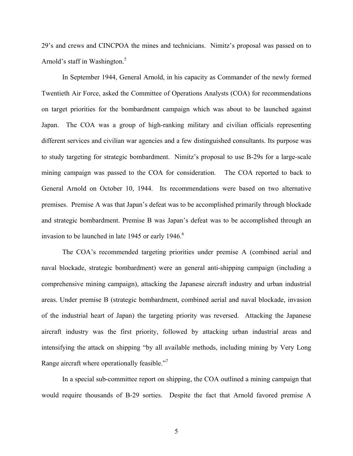29's and crews and CINCPOA the mines and technicians. Nimitz's proposal was passed on to Arnold's staff in Washington.<sup>5</sup>

In September 1944, General Arnold, in his capacity as Commander of the newly formed Twentieth Air Force, asked the Committee of Operations Analysts (COA) for recommendations on target priorities for the bombardment campaign which was about to be launched against Japan. The COA was a group of high-ranking military and civilian officials representing different services and civilian war agencies and a few distinguished consultants. Its purpose was to study targeting for strategic bombardment. Nimitz's proposal to use B-29s for a large-scale mining campaign was passed to the COA for consideration. The COA reported to back to General Arnold on October 10, 1944. Its recommendations were based on two alternative premises. Premise A was that Japan's defeat was to be accomplished primarily through blockade and strategic bombardment. Premise B was Japan's defeat was to be accomplished through an invasion to be launched in late 1945 or early  $1946$  $1946$ .<sup>6</sup>

The COA's recommended targeting priorities under premise A (combined aerial and naval blockade, strategic bombardment) were an general anti-shipping campaign (including a comprehensive mining campaign), attacking the Japanese aircraft industry and urban industrial areas. Under premise B (strategic bombardment, combined aerial and naval blockade, invasion of the industrial heart of Japan) the targeting priority was reversed. Attacking the Japanese aircraft industry was the first priority, followed by attacking urban industrial areas and intensifying the attack on shipping "by all available methods, including mining by Very Long Range aircraft where operationally feasible."<sup>[7](#page-21-0)</sup>

In a special sub-committee report on shipping, the COA outlined a mining campaign that would require thousands of B-29 sorties. Despite the fact that Arnold favored premise A

5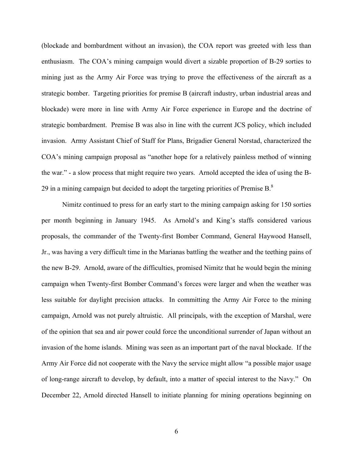(blockade and bombardment without an invasion), the COA report was greeted with less than enthusiasm. The COA's mining campaign would divert a sizable proportion of B-29 sorties to mining just as the Army Air Force was trying to prove the effectiveness of the aircraft as a strategic bomber. Targeting priorities for premise B (aircraft industry, urban industrial areas and blockade) were more in line with Army Air Force experience in Europe and the doctrine of strategic bombardment. Premise B was also in line with the current JCS policy, which included invasion. Army Assistant Chief of Staff for Plans, Brigadier General Norstad, characterized the COA's mining campaign proposal as "another hope for a relatively painless method of winning the war." - a slow process that might require two years. Arnold accepted the idea of using the B-29 in a mining campaign but decided to adopt the targeting priorities of Premise B. $8$ 

Nimitz continued to press for an early start to the mining campaign asking for 150 sorties per month beginning in January 1945. As Arnold's and King's staffs considered various proposals, the commander of the Twenty-first Bomber Command, General Haywood Hansell, Jr., was having a very difficult time in the Marianas battling the weather and the teething pains of the new B-29. Arnold, aware of the difficulties, promised Nimitz that he would begin the mining campaign when Twenty-first Bomber Command's forces were larger and when the weather was less suitable for daylight precision attacks. In committing the Army Air Force to the mining campaign, Arnold was not purely altruistic. All principals, with the exception of Marshal, were of the opinion that sea and air power could force the unconditional surrender of Japan without an invasion of the home islands. Mining was seen as an important part of the naval blockade. If the Army Air Force did not cooperate with the Navy the service might allow "a possible major usage of long-range aircraft to develop, by default, into a matter of special interest to the Navy." On December 22, Arnold directed Hansell to initiate planning for mining operations beginning on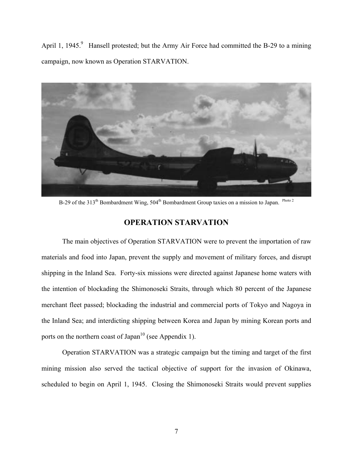April 1, 1945.<sup>9</sup> Hansell protested; but the Army Air Force had committed the B-29 to a mining campaign, now known as Operation STARVATION.



B-29 of the 313<sup>th</sup> Bombardment Wing, 504<sup>th</sup> Bombardment Group taxies on a mission to Japan. <sup>Photo 2</sup>

# **OPERATION STARVATION**

The main objectives of Operation STARVATION were to prevent the importation of raw materials and food into Japan, prevent the supply and movement of military forces, and disrupt shipping in the Inland Sea. Forty-six missions were directed against Japanese home waters with the intention of blockading the Shimonoseki Straits, through which 80 percent of the Japanese merchant fleet passed; blockading the industrial and commercial ports of Tokyo and Nagoya in the Inland Sea; and interdicting shipping between Korea and Japan by mining Korean ports and ports on the northern coast of Japan<sup>10</sup> (see Appendix 1).

Operation STARVATION was a strategic campaign but the timing and target of the first mining mission also served the tactical objective of support for the invasion of Okinawa, scheduled to begin on April 1, 1945. Closing the Shimonoseki Straits would prevent supplies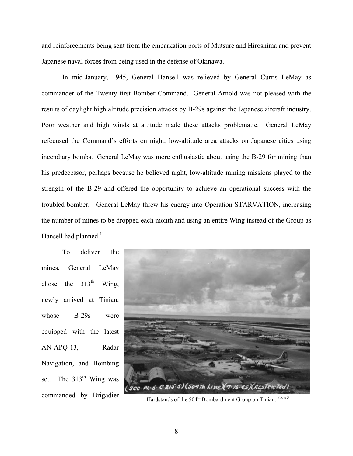and reinforcements being sent from the embarkation ports of Mutsure and Hiroshima and prevent Japanese naval forces from being used in the defense of Okinawa.

In mid-January, 1945, General Hansell was relieved by General Curtis LeMay as commander of the Twenty-first Bomber Command. General Arnold was not pleased with the results of daylight high altitude precision attacks by B-29s against the Japanese aircraft industry. Poor weather and high winds at altitude made these attacks problematic. General LeMay refocused the Command's efforts on night, low-altitude area attacks on Japanese cities using incendiary bombs. General LeMay was more enthusiastic about using the B-29 for mining than his predecessor, perhaps because he believed night, low-altitude mining missions played to the strength of the B-29 and offered the opportunity to achieve an operational success with the troubled bomber. General LeMay threw his energy into Operation STARVATION, increasing the number of mines to be dropped each month and using an entire Wing instead of the Group as Hansell had planned. $11$ 

To deliver the mines, General LeMay chose the  $313<sup>th</sup>$  Wing, newly arrived at Tinian, whose B-29s were equipped with the latest AN-APQ-13, Radar Navigation, and Bombing set. The  $313<sup>th</sup>$  Wing was



commanded by Brigadier Hardstands of the 504<sup>th</sup> Bombardment Group on Tinian. Photo 3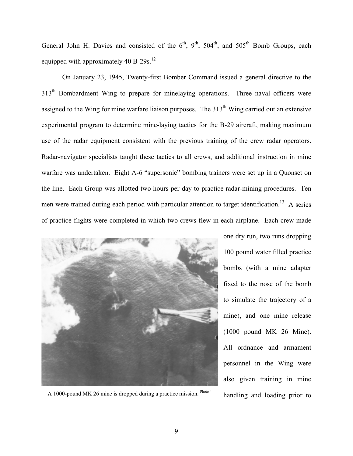General John H. Davies and consisted of the  $6<sup>th</sup>$ ,  $9<sup>th</sup>$ ,  $504<sup>th</sup>$ , and  $505<sup>th</sup>$  Bomb Groups, each equipped with approximately 40 B-29s.<sup>12</sup>

On January 23, 1945, Twenty-first Bomber Command issued a general directive to the 313<sup>th</sup> Bombardment Wing to prepare for minelaying operations. Three naval officers were assigned to the Wing for mine warfare liaison purposes. The  $313<sup>th</sup>$  Wing carried out an extensive experimental program to determine mine-laying tactics for the B-29 aircraft, making maximum use of the radar equipment consistent with the previous training of the crew radar operators. Radar-navigator specialists taught these tactics to all crews, and additional instruction in mine warfare was undertaken. Eight A-6 "supersonic" bombing trainers were set up in a Quonset on the line. Each Group was allotted two hours per day to practice radar-mining procedures. Ten men were trained during each period with particular attention to target identification.<sup>13</sup> A series of practice flights were completed in which two crews flew in each airplane. Each crew made



A 1000-pound MK 26 mine is dropped during a practice mission. Photo 4

one dry run, two runs dropping 100 pound water filled practice bombs (with a mine adapter fixed to the nose of the bomb to simulate the trajectory of a mine), and one mine release (1000 pound MK 26 Mine). All ordnance and armament personnel in the Wing were also given training in mine handling and loading prior to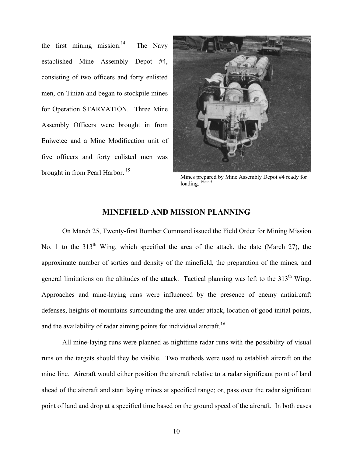the first mining miss[ion](#page-21-0).<sup>14</sup> The Navy established Mine Assembly Depot #4, consisting of two officers and forty enlisted men, on Tinian and began to stockpile mines for Operation STARVATION. Three Mine Assembly Officers were brought in from Eniwetec and a Mine Modification unit of five officers and forty enlisted men was brought in from Pearl Harbor. [15](#page-21-0)



Mines prepared by Mine Assembly Depot #4 ready for loading. Photo 5

## **MINEFIELD AND MISSION PLANNING**

On March 25, Twenty-first Bomber Command issued the Field Order for Mining Mission No. 1 to the  $313<sup>th</sup>$  Wing, which specified the area of the attack, the date (March 27), the approximate number of sorties and density of the minefield, the preparation of the mines, and general limitations on the altitudes of the attack. Tactical planning was left to the  $313<sup>th</sup>$  Wing. Approaches and mine-laying runs were influenced by the presence of enemy antiaircraft defenses, heights of mountains surrounding the area under attack, location of good initial points, and the availability of radar aiming points for individual aircraft.<sup>[16](#page-21-0)</sup>

All mine-laying runs were planned as nighttime radar runs with the possibility of visual runs on the targets should they be visible. Two methods were used to establish aircraft on the mine line. Aircraft would either position the aircraft relative to a radar significant point of land ahead of the aircraft and start laying mines at specified range; or, pass over the radar significant point of land and drop at a specified time based on the ground speed of the aircraft. In both cases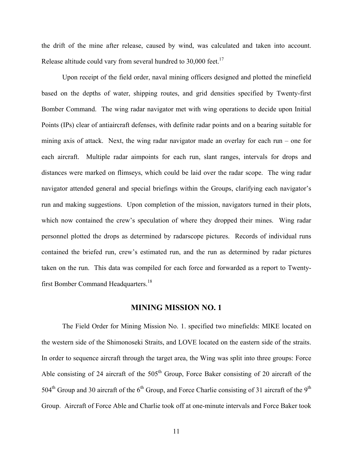the drift of the mine after release, caused by wind, was calculated and taken into account. Release altitude could vary from several hundred to  $30,000$  feet.<sup>17</sup>

Upon receipt of the field order, naval mining officers designed and plotted the minefield based on the depths of water, shipping routes, and grid densities specified by Twenty-first Bomber Command. The wing radar navigator met with wing operations to decide upon Initial Points (IPs) clear of antiaircraft defenses, with definite radar points and on a bearing suitable for mining axis of attack. Next, the wing radar navigator made an overlay for each run – one for each aircraft. Multiple radar aimpoints for each run, slant ranges, intervals for drops and distances were marked on flimseys, which could be laid over the radar scope. The wing radar navigator attended general and special briefings within the Groups, clarifying each navigator's run and making suggestions. Upon completion of the mission, navigators turned in their plots, which now contained the crew's speculation of where they dropped their mines. Wing radar personnel plotted the drops as determined by radarscope pictures. Records of individual runs contained the briefed run, crew's estimated run, and the run as determined by radar pictures taken on the run. This data was compiled for each force and forwarded as a report to Twenty-first Bomber Command Headquarters.<sup>[18](#page-21-0)</sup>

# **MINING MISSION NO. 1**

The Field Order for Mining Mission No. 1. specified two minefields: MIKE located on the western side of the Shimonoseki Straits, and LOVE located on the eastern side of the straits. In order to sequence aircraft through the target area, the Wing was split into three groups: Force Able consisting of 24 aircraft of the  $505<sup>th</sup>$  Group, Force Baker consisting of 20 aircraft of the 504<sup>th</sup> Group and 30 aircraft of the 6<sup>th</sup> Group, and Force Charlie consisting of 31 aircraft of the 9<sup>th</sup> Group. Aircraft of Force Able and Charlie took off at one-minute intervals and Force Baker took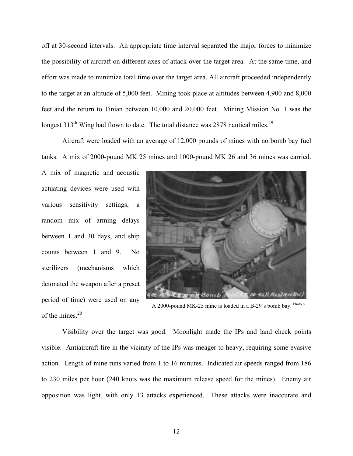off at 30-second intervals. An appropriate time interval separated the major forces to minimize the possibility of aircraft on different axes of attack over the target area. At the same time, and effort was made to minimize total time over the target area. All aircraft proceeded independently to the target at an altitude of 5,000 feet. Mining took place at altitudes between 4,900 and 8,000 feet and the return to Tinian between 10,000 and 20,000 feet. Mining Mission No. 1 was the longest 313<sup>th</sup> Wing had flown to date. The total distance was 2878 nautical miles.<sup>19</sup>

Aircraft were loaded with an average of 12,000 pounds of mines with no bomb bay fuel tanks. A mix of 2000-pound MK 25 mines and 1000-pound MK 26 and 36 mines was carried.

A mix of magnetic and acoustic actuating devices were used with various sensitivity settings, a random mix of arming delays between 1 and 30 days, and ship counts between 1 and 9. No sterilizers (mechanisms which detonated the weapon after a preset period of time) were used on any of the mines. [20](#page-21-0)



A 2000-pound MK-25 mine is loaded in a B-29's bomb bay. Photo 6

Visibility over the target was good. Moonlight made the IPs and land check points visible. Antiaircraft fire in the vicinity of the IPs was meager to heavy, requiring some evasive action. Length of mine runs varied from 1 to 16 minutes. Indicated air speeds ranged from 186 to 230 miles per hour (240 knots was the maximum release speed for the mines). Enemy air opposition was light, with only 13 attacks experienced. These attacks were inaccurate and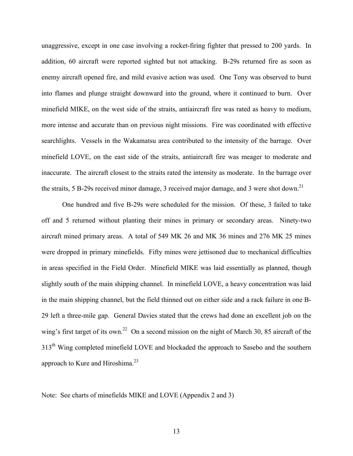unaggressive, except in one case involving a rocket-firing fighter that pressed to 200 yards. In addition, 60 aircraft were reported sighted but not attacking. B-29s returned fire as soon as enemy aircraft opened fire, and mild evasive action was used. One Tony was observed to burst into flames and plunge straight downward into the ground, where it continued to burn. Over minefield MIKE, on the west side of the straits, antiaircraft fire was rated as heavy to medium, more intense and accurate than on previous night missions. Fire was coordinated with effective searchlights. Vessels in the Wakamatsu area contributed to the intensity of the barrage. Over minefield LOVE, on the east side of the straits, antiaircraft fire was meager to moderate and inaccurate. The aircraft closest to the straits rated the intensity as moderate. In the barrage over the straits, 5 B-29s received minor damage, 3 received major damage, and 3 were shot down.<sup>[21](#page-21-0)</sup>

One hundred and five B-29s were scheduled for the mission. Of these, 3 failed to take off and 5 returned without planting their mines in primary or secondary areas. Ninety-two aircraft mined primary areas. A total of 549 MK 26 and MK 36 mines and 276 MK 25 mines were dropped in primary minefields. Fifty mines were jettisoned due to mechanical difficulties in areas specified in the Field Order. Minefield MIKE was laid essentially as planned, though slightly south of the main shipping channel. In minefield LOVE, a heavy concentration was laid in the main shipping channel, but the field thinned out on either side and a rack failure in one B-29 left a three-mile gap. General Davies stated that the crews had done an excellent job on the wing's first target of its own.<sup>22</sup> On a second mission on the night of March 30, 85 aircraft of the 313<sup>th</sup> Wing completed minefield LOVE and blockaded the approach to Sasebo and the southern approach to Kure and Hiroshima.<sup>23</sup>

Note: See charts of minefields MIKE and LOVE (Appendix 2 and 3)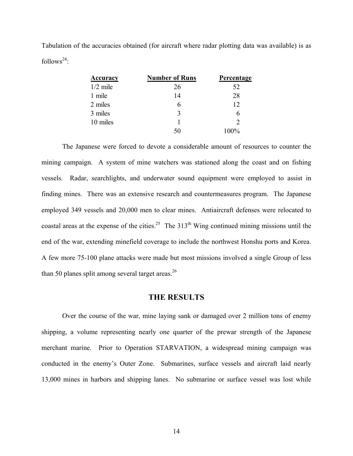Tabulation of the accuracies obtained (for aircraft where radar plotting data was available) is as follows<sup>24</sup>:

| <u>Accuracy</u> | <b>Number of Runs</b> | <b>Percentage</b> |
|-----------------|-----------------------|-------------------|
| $1/2$ mile      | 26                    | 52                |
| 1 mile          | 14                    | 28                |
| 2 miles         |                       | 12                |
| 3 miles         |                       |                   |
| 10 miles        |                       | $\mathcal{D}$     |
|                 |                       | $100\%$           |

The Japanese were forced to devote a considerable amount of resources to counter the mining campaign. A system of mine watchers was stationed along the coast and on fishing vessels. Radar, searchlights, and underwater sound equipment were employed to assist in finding mines. There was an extensive research and countermeasures program. The Japanese employed 349 vessels and 20,000 men to clear mines. Antiaircraft defenses were relocated to coastal areas at the expense of the cities.<sup>25</sup> The  $313<sup>th</sup>$  Wing continued mining missions until the end of the war, extending minefield coverage to include the northwest Honshu ports and Korea. A few more 75-100 plane attacks were made but most missions involved a single Group of less than 50 planes split among several target areas. $26$ 

## **THE RESULTS**

Over the course of the war, mine laying sank or damaged over 2 million tons of enemy shipping, a volume representing nearly one quarter of the prewar strength of the Japanese merchant marine. Prior to Operation STARVATION, a widespread mining campaign was conducted in the enemy's Outer Zone. Submarines, surface vessels and aircraft laid nearly 13,000 mines in harbors and shipping lanes. No submarine or surface vessel was lost while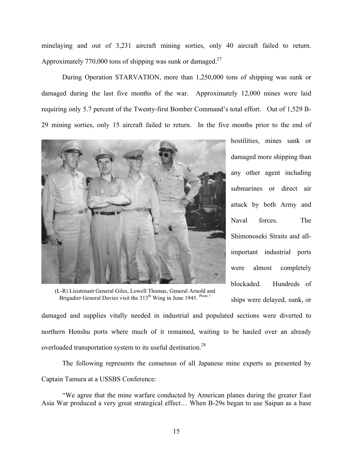minelaying and out of 3,231 aircraft mining sorties, only 40 aircraft failed to return. Approximately 770,000 tons of shipping was sunk or damaged.<sup>[27](#page-21-0)</sup>

During Operation STARVATION, more than 1,250,000 tons of shipping was sunk or damaged during the last five months of the war. Approximately 12,000 mines were laid requiring only 5.7 percent of the Twenty-first Bomber Command's total effort. Out of 1,529 B-29 mining sorties, only 15 aircraft failed to return. In the five months prior to the end of



(L-R) Lieutenant General Giles, Lowell Thomas, General Arnold and Brigadier General Davies visit the 313<sup>th</sup> Wing in June 1945. Photo 7

hostilities, mines sank or damaged more shipping than any other agent including submarines or direct air attack by both Army and Naval forces. The Shimonoseki Straits and allimportant industrial ports were almost completely blockaded. Hundreds of ships were delayed, sunk, or

damaged and supplies vitally needed in industrial and populated sections were diverted to northern Honshu ports where much of it remained, waiting to be hauled over an already overloaded transportation system to its useful destination.<sup>28</sup>

The following represents the consensus of all Japanese mine experts as presented by Captain Tamura at a USSBS Conference:

"We agree that the mine warfare conducted by American planes during the greater East Asia War produced a very great strategical effect… When B-29s began to use Saipan as a base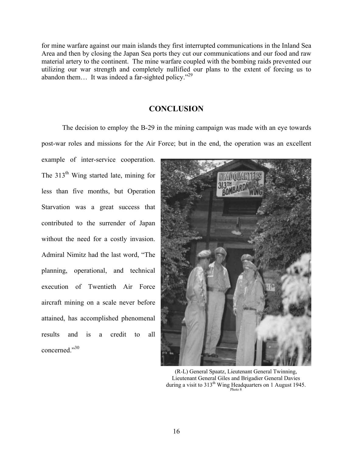for mine warfare against our main islands they first interrupted communications in the Inland Sea Area and then by closing the Japan Sea ports they cut our communications and our food and raw material artery to the continent. The mine warfare coupled with the bombing raids prevented our utilizing our war strength and completely nullified our plans to the extent of forcing us to abandon them… It was indeed a far-sighted policy."[29](#page-21-0)

# **CONCLUSION**

The decision to employ the B-29 in the mining campaign was made with an eye towards

post-war roles and missions for the Air Force; but in the end, the operation was an excellent

example of inter-service cooperation. The  $313<sup>th</sup>$  Wing started late, mining for less than five months, but Operation Starvation was a great success that contributed to the surrender of Japan without the need for a costly invasion. Admiral Nimitz had the last word, "The planning, operational, and technical execution of Twentieth Air Force aircraft mining on a scale never before attained, has accomplished phenomenal results and is a credit to all concerned.["30](#page-21-0) 



(R-L) General Spaatz, Lieutenant General Twinning, Lieutenant General Giles and Brigadier General Davies during a visit to  $313<sup>th</sup>$  Wing Headquarters on 1 August 1945.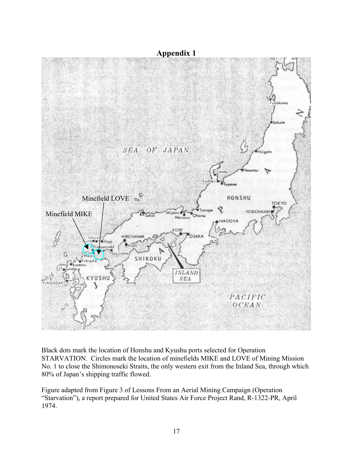

Black dots mark the location of Honshu and Kyushu ports selected for Operation STARVATION. Circles mark the location of minefields MIKE and LOVE of Mining Mission No. 1 to close the Shimonoseki Straits, the only western exit from the Inland Sea, through which 80% of Japan's shipping traffic flowed.

Figure adapted from Figure 3 of Lessons From an Aerial Mining Campaign (Operation "Starvation"), a report prepared for United States Air Force Project Rand, R-1322-PR, April 1974.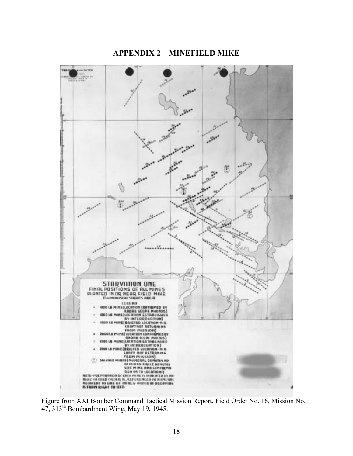# **APPENDIX 2 – MINEFIELD MIKE**



Figure from XXI Bomber Command Tactical Mission Report, Field Order No. 16, Mission No.  $47, 313<sup>th</sup>$  Bombardment Wing, May 19, 1945.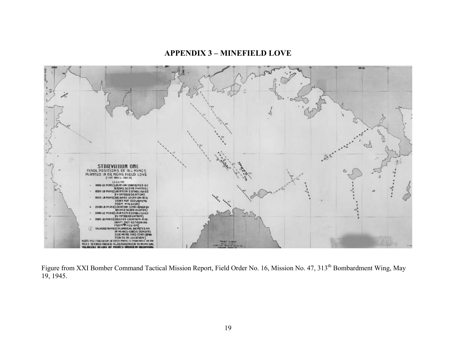# **APPENDIX 3 – MINEFIELD LOVE**



Figure from XXI Bomber Command Tactical Mission Report, Field Order No. 16, Mission No. 47, 313<sup>th</sup> Bombardment Wing, May 19, 1945.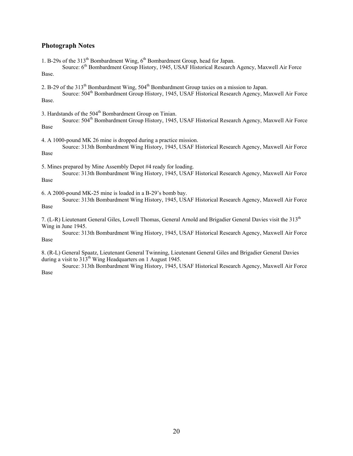#### **Photograph Notes**

1. B-29s of the 313<sup>th</sup> Bombardment Wing, 6<sup>th</sup> Bombardment Group, head for Japan.

Source: 6<sup>th</sup> Bombardment Group History, 1945, USAF Historical Research Agency, Maxwell Air Force Base.

2. B-29 of the 313<sup>th</sup> Bombardment Wing, 504<sup>th</sup> Bombardment Group taxies on a mission to Japan.

Source: 504<sup>th</sup> Bombardment Group History, 1945, USAF Historical Research Agency, Maxwell Air Force Base.

3. Hardstands of the  $504<sup>th</sup>$  Bombardment Group on Tinian.

Source: 504<sup>th</sup> Bombardment Group History, 1945, USAF Historical Research Agency, Maxwell Air Force Base

4. A 1000-pound MK 26 mine is dropped during a practice mission. Source: 313th Bombardment Wing History, 1945, USAF Historical Research Agency, Maxwell Air Force

Base

5. Mines prepared by Mine Assembly Depot #4 ready for loading.

Source: 313th Bombardment Wing History, 1945, USAF Historical Research Agency, Maxwell Air Force Base

6. A 2000-pound MK-25 mine is loaded in a B-29's bomb bay.

Source: 313th Bombardment Wing History, 1945, USAF Historical Research Agency, Maxwell Air Force Base

7. (L-R) Lieutenant General Giles, Lowell Thomas, General Arnold and Brigadier General Davies visit the 313<sup>th</sup> Wing in June 1945.

Source: 313th Bombardment Wing History, 1945, USAF Historical Research Agency, Maxwell Air Force Base

8. (R-L) General Spaatz, Lieutenant General Twinning, Lieutenant General Giles and Brigadier General Davies during a visit to 313<sup>th</sup> Wing Headquarters on 1 August 1945.

Source: 313th Bombardment Wing History, 1945, USAF Historical Research Agency, Maxwell Air Force Base